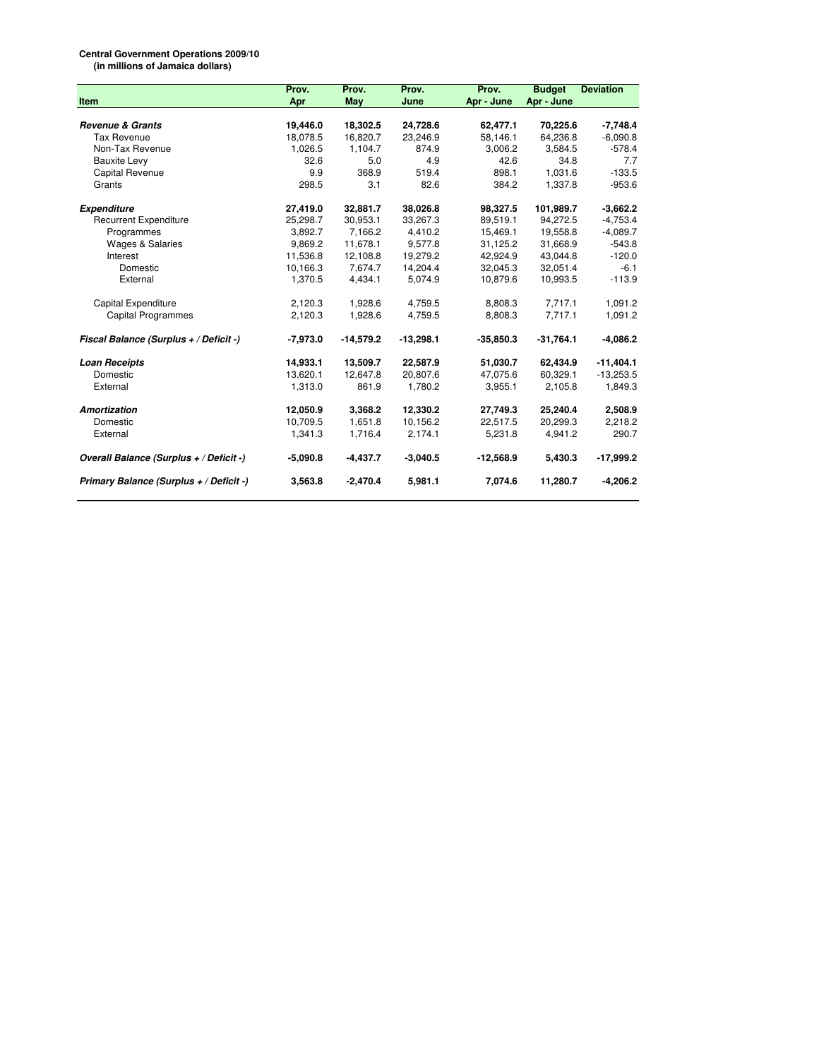## **Central Government Operations 2009/10**

**(in millions of Jamaica dollars)**

|                                         | Prov.      | Prov.       | Prov.       | Prov.       | <b>Budget</b> | <b>Deviation</b> |
|-----------------------------------------|------------|-------------|-------------|-------------|---------------|------------------|
| Item                                    | Apr        | May         | June        | Apr - June  | Apr - June    |                  |
|                                         |            |             |             |             |               |                  |
| <b>Revenue &amp; Grants</b>             | 19,446.0   | 18,302.5    | 24,728.6    | 62,477.1    | 70,225.6      | $-7,748.4$       |
| <b>Tax Revenue</b>                      | 18,078.5   | 16,820.7    | 23,246.9    | 58,146.1    | 64,236.8      | $-6,090.8$       |
| Non-Tax Revenue                         | 1,026.5    | 1,104.7     | 874.9       | 3,006.2     | 3,584.5       | $-578.4$         |
| <b>Bauxite Levy</b>                     | 32.6       | 5.0         | 4.9         | 42.6        | 34.8          | 7.7              |
| Capital Revenue                         | 9.9        | 368.9       | 519.4       | 898.1       | 1,031.6       | $-133.5$         |
| Grants                                  | 298.5      | 3.1         | 82.6        | 384.2       | 1,337.8       | $-953.6$         |
| <b>Expenditure</b>                      | 27,419.0   | 32,881.7    | 38,026.8    | 98,327.5    | 101,989.7     | $-3,662.2$       |
| <b>Recurrent Expenditure</b>            | 25,298.7   | 30,953.1    | 33,267.3    | 89,519.1    | 94,272.5      | $-4,753.4$       |
| Programmes                              | 3,892.7    | 7,166.2     | 4,410.2     | 15,469.1    | 19,558.8      | $-4,089.7$       |
| <b>Wages &amp; Salaries</b>             | 9,869.2    | 11,678.1    | 9,577.8     | 31,125.2    | 31,668.9      | $-543.8$         |
| Interest                                | 11,536.8   | 12,108.8    | 19,279.2    | 42,924.9    | 43,044.8      | $-120.0$         |
| Domestic                                | 10,166.3   | 7,674.7     | 14,204.4    | 32,045.3    | 32,051.4      | $-6.1$           |
| External                                | 1,370.5    | 4,434.1     | 5,074.9     | 10,879.6    | 10,993.5      | $-113.9$         |
| <b>Capital Expenditure</b>              | 2.120.3    | 1.928.6     | 4.759.5     | 8,808.3     | 7.717.1       | 1.091.2          |
| <b>Capital Programmes</b>               | 2,120.3    | 1,928.6     | 4,759.5     | 8,808.3     | 7,717.1       | 1,091.2          |
| Fiscal Balance (Surplus + / Deficit -)  | $-7,973.0$ | $-14,579.2$ | $-13,298.1$ | $-35,850.3$ | $-31,764.1$   | $-4,086.2$       |
| <b>Loan Receipts</b>                    | 14,933.1   | 13,509.7    | 22,587.9    | 51,030.7    | 62,434.9      | $-11,404.1$      |
| Domestic                                | 13,620.1   | 12,647.8    | 20,807.6    | 47,075.6    | 60,329.1      | $-13,253.5$      |
| External                                | 1,313.0    | 861.9       | 1,780.2     | 3,955.1     | 2,105.8       | 1,849.3          |
| <b>Amortization</b>                     | 12,050.9   | 3,368.2     | 12,330.2    | 27,749.3    | 25,240.4      | 2,508.9          |
| Domestic                                | 10.709.5   | 1.651.8     | 10,156.2    | 22,517.5    | 20.299.3      | 2,218.2          |
| External                                | 1,341.3    | 1,716.4     | 2,174.1     | 5,231.8     | 4,941.2       | 290.7            |
| Overall Balance (Surplus + / Deficit -) | $-5,090.8$ | $-4,437.7$  | $-3,040.5$  | $-12,568.9$ | 5,430.3       | $-17,999.2$      |
| Primary Balance (Surplus + / Deficit -) | 3,563.8    | $-2,470.4$  | 5,981.1     | 7,074.6     | 11,280.7      | $-4,206.2$       |